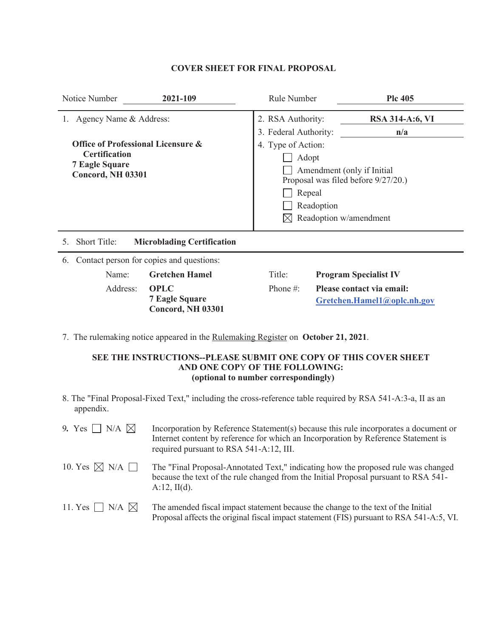## **COVER SHEET FOR FINAL PROPOSAL**

| Notice Number<br>2021-109                                                                                       | Rule Number                                                                                                                                                                                    | <b>Plc 405</b>                                           |  |  |
|-----------------------------------------------------------------------------------------------------------------|------------------------------------------------------------------------------------------------------------------------------------------------------------------------------------------------|----------------------------------------------------------|--|--|
| Agency Name & Address:                                                                                          | 2. RSA Authority:                                                                                                                                                                              | <b>RSA 314-A:6, VI</b>                                   |  |  |
| Office of Professional Licensure &<br><b>Certification</b><br><b>7 Eagle Square</b><br><b>Concord, NH 03301</b> | 3. Federal Authority:<br>n/a<br>4. Type of Action:<br>Adopt<br>Amendment (only if Initial<br>Proposal was filed before 9/27/20.)<br>Repeal<br>Readoption<br>$\boxtimes$ Readoption w/amendment |                                                          |  |  |
| <b>Short Title:</b><br><b>Microblading Certification</b><br>5.                                                  |                                                                                                                                                                                                |                                                          |  |  |
| Contact person for copies and questions:<br>6.                                                                  |                                                                                                                                                                                                |                                                          |  |  |
| <b>Gretchen Hamel</b><br>Name:                                                                                  | Title:                                                                                                                                                                                         | <b>Program Specialist IV</b>                             |  |  |
| Address:<br><b>OPLC</b><br><b>7 Eagle Square</b><br>Concord, NH 03301                                           | Phone $#$ :                                                                                                                                                                                    | Please contact via email:<br>Gretchen.Hamel1@oplc.nh.gov |  |  |

7. The rulemaking notice appeared in the Rulemaking Register on **October 21, 2021**.

## **SEE THE INSTRUCTIONS--PLEASE SUBMIT ONE COPY OF THIS COVER SHEET AND ONE COP**Y **OF THE FOLLOWING: (optional to number correspondingly)**

8. The "Final Proposal-Fixed Text," including the cross-reference table required by RSA 541-A:3-a, II as an appendix.

| 9. Yes $\Box$ N/A $\boxtimes$  | Incorporation by Reference Statement(s) because this rule incorporates a document or<br>Internet content by reference for which an Incorporation by Reference Statement is<br>required pursuant to RSA 541-A:12, III. |
|--------------------------------|-----------------------------------------------------------------------------------------------------------------------------------------------------------------------------------------------------------------------|
| 10. Yes $\boxtimes$ N/A $\Box$ | The "Final Proposal-Annotated Text," indicating how the proposed rule was changed<br>because the text of the rule changed from the Initial Proposal pursuant to RSA 541-<br>$A:12$ , II(d).                           |
| 11. Yes $\Box$ N/A $\boxtimes$ | The amended fiscal impact statement because the change to the text of the Initial<br>Proposal affects the original fiscal impact statement (FIS) pursuant to RSA 541-A:5, VI.                                         |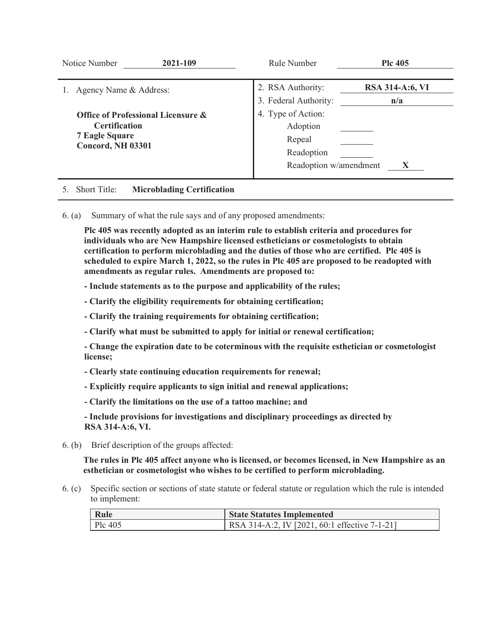| Notice Number<br>2021-109          | Rule Number            | <b>Plc 405</b>         |
|------------------------------------|------------------------|------------------------|
|                                    |                        |                        |
| Agency Name & Address:             | 2. RSA Authority:      | <b>RSA 314-A:6, VI</b> |
|                                    | 3. Federal Authority:  | n/a                    |
| Office of Professional Licensure & | 4. Type of Action:     |                        |
| <b>Certification</b>               | Adoption               |                        |
| <b>7 Eagle Square</b>              | Repeal                 |                        |
| <b>Concord, NH 03301</b>           | Readoption             |                        |
|                                    | Readoption w/amendment |                        |
|                                    |                        |                        |

# 5. Short Title: **Microblading Certification**

6. (a) Summary of what the rule says and of any proposed amendments:

**Plc 405 was recently adopted as an interim rule to establish criteria and procedures for individuals who are New Hampshire licensed estheticians or cosmetologists to obtain certification to perform microblading and the duties of those who are certified. Plc 405 is scheduled to expire March 1, 2022, so the rules in Plc 405 are proposed to be readopted with amendments as regular rules. Amendments are proposed to:** 

**- Include statements as to the purpose and applicability of the rules;** 

**- Clarify the eligibility requirements for obtaining certification;** 

**- Clarify the training requirements for obtaining certification;** 

**- Clarify what must be submitted to apply for initial or renewal certification;** 

**- Change the expiration date to be coterminous with the requisite esthetician or cosmetologist license;** 

**- Clearly state continuing education requirements for renewal;** 

**- Explicitly require applicants to sign initial and renewal applications;** 

**- Clarify the limitations on the use of a tattoo machine; and** 

**- Include provisions for investigations and disciplinary proceedings as directed by RSA 314-A:6, VI.**

6. (b) Brief description of the groups affected:

**The rules in Plc 405 affect anyone who is licensed, or becomes licensed, in New Hampshire as an esthetician or cosmetologist who wishes to be certified to perform microblading.** 

6. (c) Specific section or sections of state statute or federal statute or regulation which the rule is intended to implement:

| Rule      | <b>State Statutes Implemented</b>             |
|-----------|-----------------------------------------------|
| $Plc$ 405 | RSA 314-A:2, IV [2021, 60:1 effective 7-1-21] |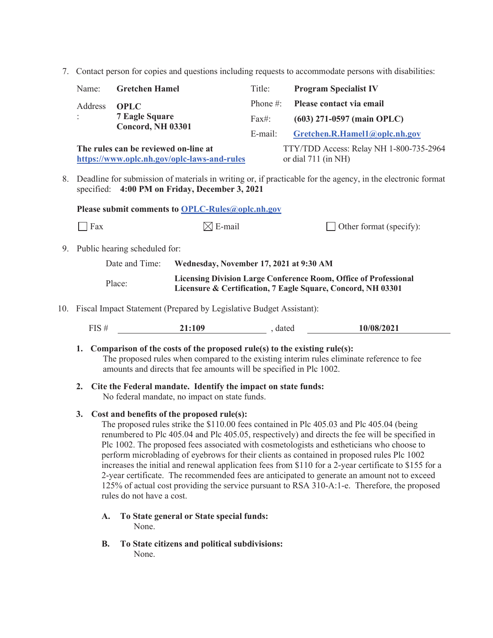7. Contact person for copies and questions including requests to accommodate persons with disabilities:

|    | Name:                                                                                                                                                         | <b>Gretchen Hamel</b>         |                                                                                                                                         | Title:                        | <b>Program Specialist IV</b> |
|----|---------------------------------------------------------------------------------------------------------------------------------------------------------------|-------------------------------|-----------------------------------------------------------------------------------------------------------------------------------------|-------------------------------|------------------------------|
|    | Address                                                                                                                                                       | <b>OPLC</b>                   |                                                                                                                                         | Phone $\#$ :                  | Please contact via email     |
|    |                                                                                                                                                               | <b>7 Eagle Square</b>         |                                                                                                                                         | Fax#:                         | $(603)$ 271-0597 (main OPLC) |
|    | <b>Concord, NH 03301</b>                                                                                                                                      |                               | E-mail:                                                                                                                                 | Gretchen.R.Hamel1@oplc.nh.gov |                              |
|    | The rules can be reviewed on-line at<br>or dial $711$ (in NH)<br>https://www.oplc.nh.gov/oplc-laws-and-rules                                                  |                               | TTY/TDD Access: Relay NH 1-800-735-2964                                                                                                 |                               |                              |
| 8. | Deadline for submission of materials in writing or, if practicable for the agency, in the electronic format<br>specified: 4:00 PM on Friday, December 3, 2021 |                               |                                                                                                                                         |                               |                              |
|    | Please submit comments to OPLC-Rules@oplc.nh.gov                                                                                                              |                               |                                                                                                                                         |                               |                              |
|    | Fax                                                                                                                                                           |                               | $\boxtimes$ E-mail                                                                                                                      |                               | Other format (specify):      |
| 9. |                                                                                                                                                               | Public hearing scheduled for: |                                                                                                                                         |                               |                              |
|    |                                                                                                                                                               | Date and Time:                | Wednesday, November 17, 2021 at 9:30 AM                                                                                                 |                               |                              |
|    |                                                                                                                                                               | Place:                        | <b>Licensing Division Large Conference Room, Office of Professional</b><br>Licensure & Certification, 7 Eagle Square, Concord, NH 03301 |                               |                              |
|    | 10. Fiscal Impact Statement (Prepared by Legislative Budget Assistant):                                                                                       |                               |                                                                                                                                         |                               |                              |
|    |                                                                                                                                                               |                               |                                                                                                                                         |                               |                              |

| 10/08/2021<br>ГIС<br><b>1:109</b><br>dated<br>: טב'ב |
|------------------------------------------------------|
|------------------------------------------------------|

- **1. Comparison of the costs of the proposed rule(s) to the existing rule(s):**  The proposed rules when compared to the existing interim rules eliminate reference to fee amounts and directs that fee amounts will be specified in Plc 1002.
- **2. Cite the Federal mandate. Identify the impact on state funds:**  No federal mandate, no impact on state funds.

## **3. Cost and benefits of the proposed rule(s):**

The proposed rules strike the \$110.00 fees contained in Plc 405.03 and Plc 405.04 (being renumbered to Plc 405.04 and Plc 405.05, respectively) and directs the fee will be specified in Plc 1002. The proposed fees associated with cosmetologists and estheticians who choose to perform microblading of eyebrows for their clients as contained in proposed rules Plc 1002 increases the initial and renewal application fees from \$110 for a 2-year certificate to \$155 for a 2-year certificate. The recommended fees are anticipated to generate an amount not to exceed 125% of actual cost providing the service pursuant to RSA 310-A:1-e. Therefore, the proposed rules do not have a cost.

- **A. To State general or State special funds:**  None.
- **B. To State citizens and political subdivisions:**  None.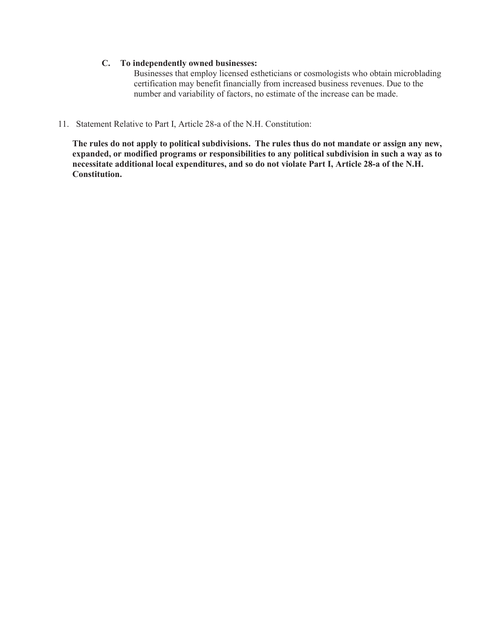## **C. To independently owned businesses:**

Businesses that employ licensed estheticians or cosmologists who obtain microblading certification may benefit financially from increased business revenues. Due to the number and variability of factors, no estimate of the increase can be made.

11. Statement Relative to Part I, Article 28-a of the N.H. Constitution:

**The rules do not apply to political subdivisions. The rules thus do not mandate or assign any new, expanded, or modified programs or responsibilities to any political subdivision in such a way as to necessitate additional local expenditures, and so do not violate Part I, Article 28-a of the N.H. Constitution.**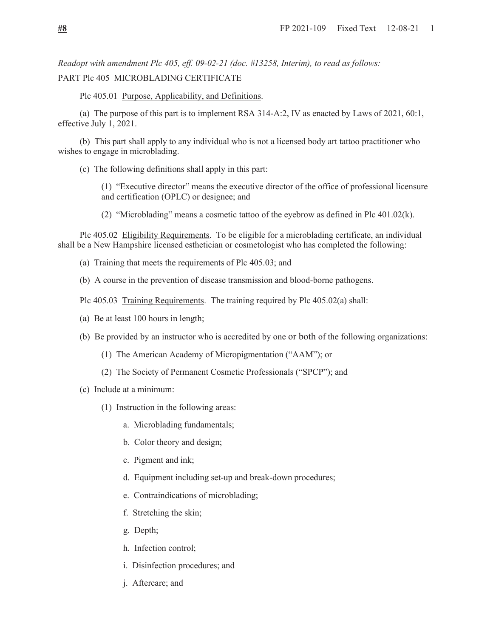*Readopt with amendment Plc 405, eff. 09-02-21 (doc. #13258, Interim), to read as follows:*  PART Plc 405 MICROBLADING CERTIFICATE

Plc 405.01 Purpose, Applicability, and Definitions.

 (a) The purpose of this part is to implement RSA 314-A:2, IV as enacted by Laws of 2021, 60:1, effective July 1, 2021.

 (b) This part shall apply to any individual who is not a licensed body art tattoo practitioner who wishes to engage in microblading.

(c) The following definitions shall apply in this part:

(1) "Executive director" means the executive director of the office of professional licensure and certification (OPLC) or designee; and

(2) "Microblading" means a cosmetic tattoo of the eyebrow as defined in Plc 401.02(k).

 Plc 405.02 Eligibility Requirements. To be eligible for a microblading certificate, an individual shall be a New Hampshire licensed esthetician or cosmetologist who has completed the following:

- (a) Training that meets the requirements of Plc 405.03; and
- (b) A course in the prevention of disease transmission and blood-borne pathogens.
- Plc 405.03 Training Requirements. The training required by Plc 405.02(a) shall:
- (a) Be at least 100 hours in length;
- (b) Be provided by an instructor who is accredited by one or both of the following organizations:
	- (1) The American Academy of Micropigmentation ("AAM"); or
	- (2) The Society of Permanent Cosmetic Professionals ("SPCP"); and
- (c) Include at a minimum:
	- (1) Instruction in the following areas:
		- a. Microblading fundamentals;
		- b. Color theory and design;
		- c. Pigment and ink;
		- d. Equipment including set-up and break-down procedures;
		- e. Contraindications of microblading;
		- f. Stretching the skin;
		- g. Depth;
		- h. Infection control;
		- i. Disinfection procedures; and
		- j. Aftercare; and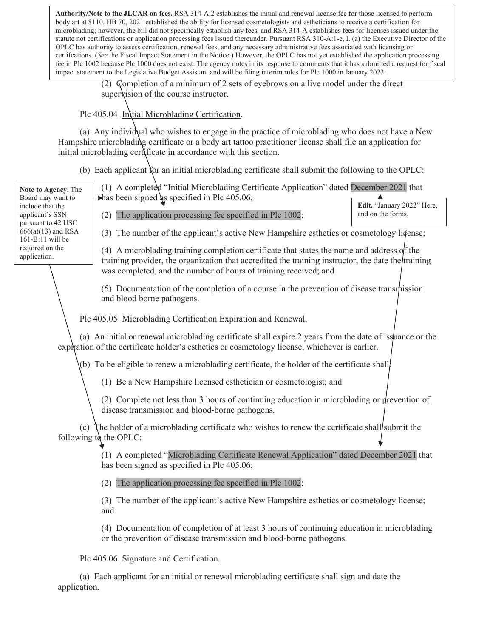Fig. at an exercise Text 12-09-21 constant and actually set are the constrained between the constrained to constrain the constraints of the microblading; however, the bill did not specifically establish any fees, and RSA 3 **Authority/Note to the JLCAR on fees.** RSA 314-A:2 establishes the initial and renewal license fee for those licensed to perform body art at \$110. HB 70, 2021 established the ability for licensed cosmetologists and estheticians to receive a certification for statute not certifications or application processing fees issued thereunder. Pursuant RSA 310-A:1-e, I. (a) the Executive Director of the OPLC has authority to assess certification, renewal fees, and any necessary administrative fees associated with licensing or certifcations. (*See* the Fiscal Impact Statement in the Notice.) However, the OPLC has not yet established the application processing fee in Plc 1002 because Plc 1000 does not exist. The agency notes in its response to comments that it has submitted a request for fiscal impact statement to the Legislative Budget Assistant and will be filing interim rules for Plc 1000 in January 2022.

> (2) Completion of a minimum of 2 sets of eyebrows on a live model under the direct super is ion of the course instructor.

Plc 405.04 Initial Microblading Certification.

 (a) Any individual who wishes to engage in the practice of microblading who does not have a New Hampshire microblading certificate or a body art tattoo practitioner license shall file an application for initial microblading certificate in accordance with this section.

(b) Each applicant for an initial microblading certificate shall submit the following to the OPLC:

**Note to Agency.** The Board may want to include that the applicant's SSN pursuant to 42 USC 666(a)(13) and RSA 161-B:11 will be required on the application.

(1) A completed "Initial Microblading Certificate Application" dated December 2021 that  $\rightarrow$  has been signed as specified in Plc 405.06; **Edit.** "January 2022" Here,

(2) The application processing fee specified in Plc 1002;

(3) The number of the applicant's active New Hampshire esthetics or cosmetology license;

and on the forms.

(4) A microblading training completion certificate that states the name and address of the training provider, the organization that accredited the training instructor, the date the training was completed, and the number of hours of training received; and

(5) Documentation of the completion of a course in the prevention of disease transmission and blood borne pathogens.

Plc 405.05 Microblading Certification Expiration and Renewal.

 (a) An initial or renewal microblading certificate shall expire 2 years from the date of issuance or the expiration of the certificate holder's esthetics or cosmetology license, whichever is earlier.

(b) To be eligible to renew a microblading certificate, the holder of the certificate shall

(1) Be a New Hampshire licensed esthetician or cosmetologist; and

(2) Complete not less than 3 hours of continuing education in microblading or prevention of disease transmission and blood-borne pathogens.

 $(c)$  The holder of a microblading certificate who wishes to renew the certificate shall submit the following to the OPLC:

> (1) A completed "Microblading Certificate Renewal Application" dated December 2021 that has been signed as specified in Plc 405.06;

(2) The application processing fee specified in Plc 1002;

(3) The number of the applicant's active New Hampshire esthetics or cosmetology license; and

(4) Documentation of completion of at least 3 hours of continuing education in microblading or the prevention of disease transmission and blood-borne pathogens.

Plc 405.06 Signature and Certification.

 (a) Each applicant for an initial or renewal microblading certificate shall sign and date the application.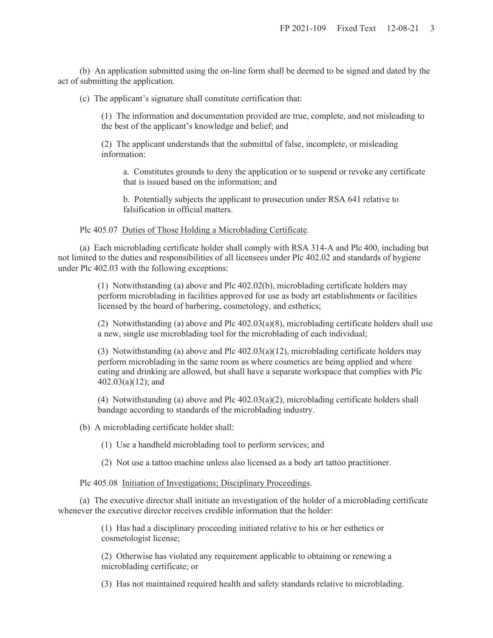(b) An application submitted using the on-line form shall be deemed to be signed and dated by the act of submitting the application.

(c) The applicant's signature shall constitute certification that:

(1) The information and documentation provided are true, complete, and not misleading to the best of the applicant's knowledge and belief; and

(2) The applicant understands that the submittal of false, incomplete, or misleading information:

a. Constitutes grounds to deny the application or to suspend or revoke any certificate that is issued based on the information; and

b. Potentially subjects the applicant to prosecution under RSA 641 relative to falsification in official matters.

Plc 405.07 Duties of Those Holding a Microblading Certificate.

 (a) Each microblading certificate holder shall comply with RSA 314-A and Plc 400, including but not limited to the duties and responsibilities of all licensees under Plc 402.02 and standards of hygiene under Plc 402.03 with the following exceptions:

> (1) Notwithstanding (a) above and Plc 402.02(b), microblading certificate holders may perform microblading in facilities approved for use as body art establishments or facilities licensed by the board of barbering, cosmetology, and esthetics;

(2) Notwithstanding (a) above and Plc 402.03(a)(8), microblading certificate holders shall use a new, single use microblading tool for the microblading of each individual;

(3) Notwithstanding (a) above and Plc 402.03(a)(12), microblading certificate holders may perform microblading in the same room as where cosmetics are being applied and where eating and drinking are allowed, but shall have a separate workspace that complies with Plc 402.03(a)(12); and

(4) Notwithstanding (a) above and Plc 402.03(a)(2), microblading certificate holders shall bandage according to standards of the microblading industry.

(b) A microblading certificate holder shall:

(1) Use a handheld microblading tool to perform services; and

(2) Not use a tattoo machine unless also licensed as a body art tattoo practitioner.

Plc 405.08 Initiation of Investigations; Disciplinary Proceedings.

 (a) The executive director shall initiate an investigation of the holder of a microblading certificate whenever the executive director receives credible information that the holder:

> (1) Has had a disciplinary proceeding initiated relative to his or her esthetics or cosmetologist license;

(2) Otherwise has violated any requirement applicable to obtaining or renewing a microblading certificate; or

(3) Has not maintained required health and safety standards relative to microblading.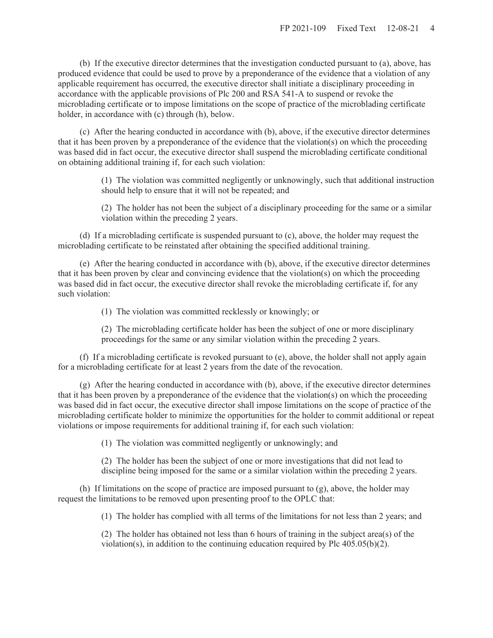(b) If the executive director determines that the investigation conducted pursuant to (a), above, has produced evidence that could be used to prove by a preponderance of the evidence that a violation of any applicable requirement has occurred, the executive director shall initiate a disciplinary proceeding in accordance with the applicable provisions of Plc 200 and RSA 541-A to suspend or revoke the microblading certificate or to impose limitations on the scope of practice of the microblading certificate holder, in accordance with (c) through (h), below.

 (c) After the hearing conducted in accordance with (b), above, if the executive director determines that it has been proven by a preponderance of the evidence that the violation(s) on which the proceeding was based did in fact occur, the executive director shall suspend the microblading certificate conditional on obtaining additional training if, for each such violation:

> (1) The violation was committed negligently or unknowingly, such that additional instruction should help to ensure that it will not be repeated; and

> (2) The holder has not been the subject of a disciplinary proceeding for the same or a similar violation within the preceding 2 years.

 (d) If a microblading certificate is suspended pursuant to (c), above, the holder may request the microblading certificate to be reinstated after obtaining the specified additional training.

 (e) After the hearing conducted in accordance with (b), above, if the executive director determines that it has been proven by clear and convincing evidence that the violation(s) on which the proceeding was based did in fact occur, the executive director shall revoke the microblading certificate if, for any such violation:

(1) The violation was committed recklessly or knowingly; or

(2) The microblading certificate holder has been the subject of one or more disciplinary proceedings for the same or any similar violation within the preceding 2 years.

 (f) If a microblading certificate is revoked pursuant to (e), above, the holder shall not apply again for a microblading certificate for at least 2 years from the date of the revocation.

 (g) After the hearing conducted in accordance with (b), above, if the executive director determines that it has been proven by a preponderance of the evidence that the violation(s) on which the proceeding was based did in fact occur, the executive director shall impose limitations on the scope of practice of the microblading certificate holder to minimize the opportunities for the holder to commit additional or repeat violations or impose requirements for additional training if, for each such violation:

(1) The violation was committed negligently or unknowingly; and

(2) The holder has been the subject of one or more investigations that did not lead to discipline being imposed for the same or a similar violation within the preceding 2 years.

 (h) If limitations on the scope of practice are imposed pursuant to (g), above, the holder may request the limitations to be removed upon presenting proof to the OPLC that:

(1) The holder has complied with all terms of the limitations for not less than 2 years; and

(2) The holder has obtained not less than 6 hours of training in the subject area(s) of the violation(s), in addition to the continuing education required by Plc  $405.05(b)(2)$ .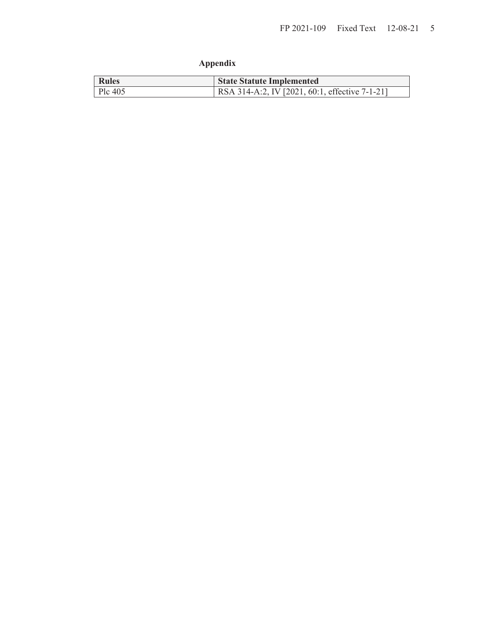# **Appendix**

| <b>Rules</b> | <b>State Statute Implemented</b>               |
|--------------|------------------------------------------------|
| Plc 405      | RSA 314-A:2, IV [2021, 60:1, effective 7-1-21] |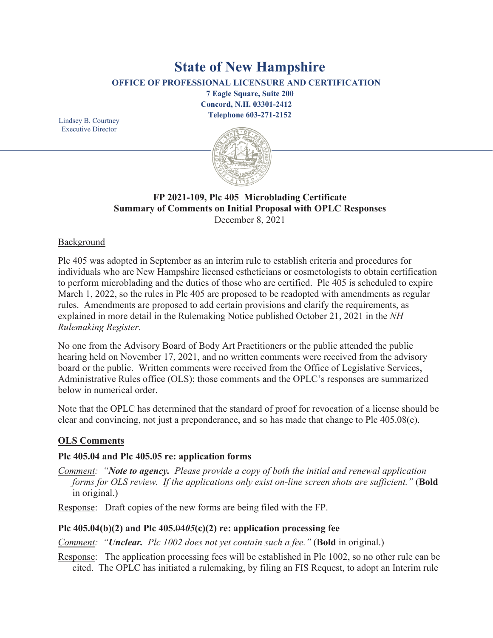# **State of New Hampshire**

**OFFICE OF PROFESSIONAL LICENSURE AND CERTIFICATION**

**7 Eagle Square, Suite 200 Concord, N.H. 03301-2412 Telephone 603-271-2152** 

Lindsey B. Courtney Executive Director



# **FP 2021-109, Plc 405 Microblading Certificate Summary of Comments on Initial Proposal with OPLC Responses** December 8, 2021

# **Background**

Plc 405 was adopted in September as an interim rule to establish criteria and procedures for individuals who are New Hampshire licensed estheticians or cosmetologists to obtain certification to perform microblading and the duties of those who are certified. Plc 405 is scheduled to expire March 1, 2022, so the rules in Plc 405 are proposed to be readopted with amendments as regular rules. Amendments are proposed to add certain provisions and clarify the requirements, as explained in more detail in the Rulemaking Notice published October 21, 2021 in the *NH Rulemaking Register*.

No one from the Advisory Board of Body Art Practitioners or the public attended the public hearing held on November 17, 2021, and no written comments were received from the advisory board or the public. Written comments were received from the Office of Legislative Services, Administrative Rules office (OLS); those comments and the OPLC's responses are summarized below in numerical order.

Note that the OPLC has determined that the standard of proof for revocation of a license should be clear and convincing, not just a preponderance, and so has made that change to Plc 405.08(e).

# **OLS Comments**

# **Plc 405.04 and Plc 405.05 re: application forms**

*Comment: "Note to agency. Please provide a copy of both the initial and renewal application forms for OLS review. If the applications only exist on-line screen shots are sufficient."* (**Bold** in original.)

Response: Draft copies of the new forms are being filed with the FP.

# **Plc 405.04(b)(2) and Plc 405.**04*05***(c)(2) re: application processing fee**

*Comment: "Unclear. Plc 1002 does not yet contain such a fee."* (**Bold** in original.)

Response: The application processing fees will be established in Plc 1002, so no other rule can be cited. The OPLC has initiated a rulemaking, by filing an FIS Request, to adopt an Interim rule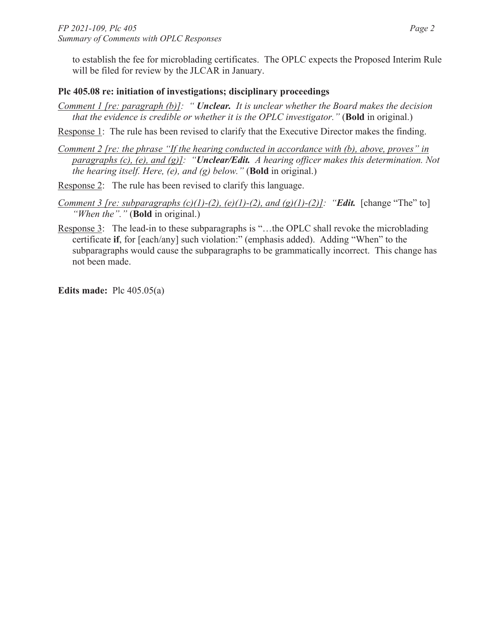to establish the fee for microblading certificates. The OPLC expects the Proposed Interim Rule will be filed for review by the JLCAR in January.

# **Plc 405.08 re: initiation of investigations; disciplinary proceedings**

*Comment 1 [re: paragraph (b)]: " Unclear. It is unclear whether the Board makes the decision that the evidence is credible or whether it is the OPLC investigator."* (**Bold** in original.)

Response 1: The rule has been revised to clarify that the Executive Director makes the finding.

- *Comment 2 [re: the phrase "If the hearing conducted in accordance with (b), above, proves" in paragraphs (c), (e), and (g)]: "Unclear/Edit. A hearing officer makes this determination. Not the hearing itself. Here, (e), and (g) below."* (**Bold** in original.)
- Response 2: The rule has been revised to clarify this language.
- *Comment 3 [re: subparagraphs (c)(1)-(2), (e)(1)-(2), and (g)(1)-(2)]: "<i>Edit.* [change "The" to] *"When the"."* (**Bold** in original.)
- Response 3: The lead-in to these subparagraphs is "…the OPLC shall revoke the microblading certificate **if**, for [each/any] such violation:" (emphasis added). Adding "When" to the subparagraphs would cause the subparagraphs to be grammatically incorrect. This change has not been made.

**Edits made:** Plc 405.05(a)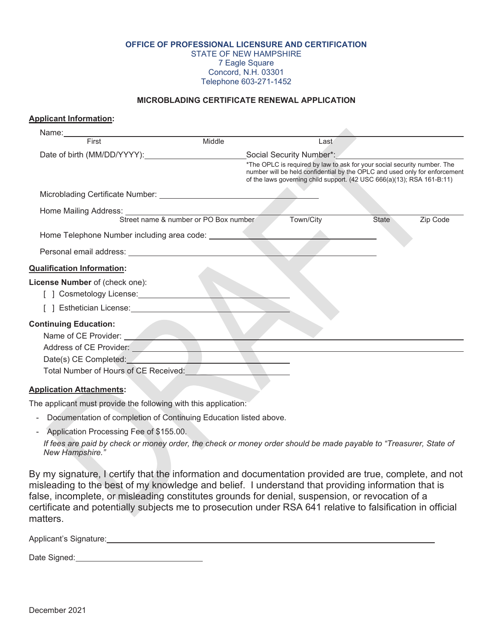#### **OFFICE OF PROFESSIONAL LICENSURE AND CERTIFICATION** STATE OF NEW HAMPSHIRE 7 Eagle Square Concord, N.H. 03301 Telephone 603-271-1452

#### **MICROBLADING CERTIFICATE RENEWAL APPLICATION**

#### **Applicant Information:**

| Name: Name: Name: Name: Name: Name: Name: Name: Name: Name: Name: Name: Name: Name: Name: Name: Name: Name: Name: Name: Name: Name: Name: Name: Name: Name: Name: Name: Name: Name: Name: Name: Name: Name: Name: Name: Name: |        |                                                                                                                                                                                                                                  |              |          |
|-------------------------------------------------------------------------------------------------------------------------------------------------------------------------------------------------------------------------------|--------|----------------------------------------------------------------------------------------------------------------------------------------------------------------------------------------------------------------------------------|--------------|----------|
| First                                                                                                                                                                                                                         | Middle | Last                                                                                                                                                                                                                             |              |          |
| Date of birth (MM/DD/YYYY): Social Security Number*:                                                                                                                                                                          |        |                                                                                                                                                                                                                                  |              |          |
|                                                                                                                                                                                                                               |        | *The OPLC is required by law to ask for your social security number. The<br>number will be held confidential by the OPLC and used only for enforcement<br>of the laws governing child support. (42 USC 666(a)(13); RSA 161-B:11) |              |          |
| Microblading Certificate Number: University of the Microblading Certificate Number:                                                                                                                                           |        |                                                                                                                                                                                                                                  |              |          |
| Home Mailing Address:<br>Street name & number or PO Box number                                                                                                                                                                |        |                                                                                                                                                                                                                                  |              |          |
|                                                                                                                                                                                                                               |        | Town/City                                                                                                                                                                                                                        | <b>State</b> | Zip Code |
| Home Telephone Number including area code: _________                                                                                                                                                                          |        |                                                                                                                                                                                                                                  |              |          |
|                                                                                                                                                                                                                               |        |                                                                                                                                                                                                                                  |              |          |
| <b>Qualification Information:</b>                                                                                                                                                                                             |        |                                                                                                                                                                                                                                  |              |          |
| License Number of (check one):                                                                                                                                                                                                |        |                                                                                                                                                                                                                                  |              |          |
| ] Cosmetology License:______________                                                                                                                                                                                          |        |                                                                                                                                                                                                                                  |              |          |
| ] Esthetician License: _________________                                                                                                                                                                                      |        |                                                                                                                                                                                                                                  |              |          |
| <b>Continuing Education:</b>                                                                                                                                                                                                  |        |                                                                                                                                                                                                                                  |              |          |
| Name of CE Provider:                                                                                                                                                                                                          |        |                                                                                                                                                                                                                                  |              |          |
| Address of CE Provider:                                                                                                                                                                                                       |        |                                                                                                                                                                                                                                  |              |          |
| Date(s) CE Completed:                                                                                                                                                                                                         |        |                                                                                                                                                                                                                                  |              |          |
| Total Number of Hours of CE Received:                                                                                                                                                                                         |        |                                                                                                                                                                                                                                  |              |          |
| <b>Application Attachments:</b>                                                                                                                                                                                               |        |                                                                                                                                                                                                                                  |              |          |

The applicant must provide the following with this application:

- Documentation of completion of Continuing Education listed above.
- Application Processing Fee of \$155.00.

*If fees are paid by check or money order, the check or money order should be made payable to "Treasurer, State of New Hampshire."* 

By my signature, I certify that the information and documentation provided are true, complete, and not misleading to the best of my knowledge and belief. I understand that providing information that is false, incomplete, or misleading constitutes grounds for denial, suspension, or revocation of a certificate and potentially subjects me to prosecution under RSA 641 relative to falsification in official matters.

Applicant's Signature: **All any Security Systems** Security Applicant is a security of the *Applicant's* Signature: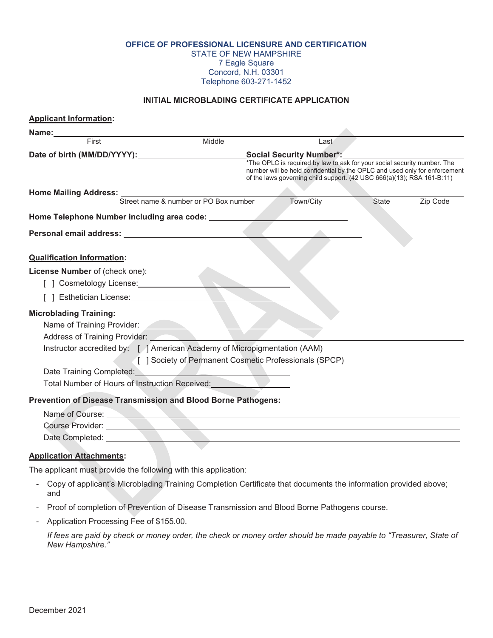**OFFICE OF PROFESSIONAL LICENSURE AND CERTIFICATION**

STATE OF NEW HAMPSHIRE 7 Eagle Square

Concord, N.H. 03301

Telephone 603-271-1452

## **INITIAL MICROBLADING CERTIFICATE APPLICATION**

| <b>Applicant Information:</b>                                                                                                                                                                                                 |                                                        |                                                                                                                                                                                                                                  |       |          |
|-------------------------------------------------------------------------------------------------------------------------------------------------------------------------------------------------------------------------------|--------------------------------------------------------|----------------------------------------------------------------------------------------------------------------------------------------------------------------------------------------------------------------------------------|-------|----------|
| Name:                                                                                                                                                                                                                         |                                                        |                                                                                                                                                                                                                                  |       |          |
| First                                                                                                                                                                                                                         | Middle                                                 | Last                                                                                                                                                                                                                             |       |          |
| Date of birth (MM/DD/YYYY):                                                                                                                                                                                                   |                                                        | <b>Social Security Number*:</b>                                                                                                                                                                                                  |       |          |
|                                                                                                                                                                                                                               |                                                        | *The OPLC is required by law to ask for your social security number. The<br>number will be held confidential by the OPLC and used only for enforcement<br>of the laws governing child support. (42 USC 666(a)(13); RSA 161-B:11) |       |          |
| Home Mailing Address:<br>Street name & number or PO Box number                                                                                                                                                                |                                                        |                                                                                                                                                                                                                                  |       |          |
|                                                                                                                                                                                                                               |                                                        | Town/City                                                                                                                                                                                                                        | State | Zip Code |
| Home Telephone Number including area code:                                                                                                                                                                                    |                                                        |                                                                                                                                                                                                                                  |       |          |
| Personal email address: experience of the set of the set of the set of the set of the set of the set of the set of the set of the set of the set of the set of the set of the set of the set of the set of the set of the set |                                                        |                                                                                                                                                                                                                                  |       |          |
|                                                                                                                                                                                                                               |                                                        |                                                                                                                                                                                                                                  |       |          |
| <b>Qualification Information:</b>                                                                                                                                                                                             |                                                        |                                                                                                                                                                                                                                  |       |          |
| License Number of (check one):                                                                                                                                                                                                |                                                        |                                                                                                                                                                                                                                  |       |          |
| [ ] Cosmetology License: 1990 1991                                                                                                                                                                                            |                                                        |                                                                                                                                                                                                                                  |       |          |
| [ ] Esthetician License: [ ] Esthetician License:                                                                                                                                                                             |                                                        |                                                                                                                                                                                                                                  |       |          |
| <b>Microblading Training:</b>                                                                                                                                                                                                 |                                                        |                                                                                                                                                                                                                                  |       |          |
| Name of Training Provider: Name of Training Provider:                                                                                                                                                                         |                                                        |                                                                                                                                                                                                                                  |       |          |
| Address of Training Provider:                                                                                                                                                                                                 |                                                        |                                                                                                                                                                                                                                  |       |          |
| Instructor accredited by: [ ] American Academy of Micropigmentation (AAM)                                                                                                                                                     |                                                        |                                                                                                                                                                                                                                  |       |          |
|                                                                                                                                                                                                                               | [ ] Society of Permanent Cosmetic Professionals (SPCP) |                                                                                                                                                                                                                                  |       |          |
| Date Training Completed: <b>Example 1999</b>                                                                                                                                                                                  |                                                        |                                                                                                                                                                                                                                  |       |          |
| Total Number of Hours of Instruction Received:                                                                                                                                                                                |                                                        |                                                                                                                                                                                                                                  |       |          |
| Prevention of Disease Transmission and Blood Borne Pathogens:                                                                                                                                                                 |                                                        |                                                                                                                                                                                                                                  |       |          |
| Name of Course:                                                                                                                                                                                                               |                                                        |                                                                                                                                                                                                                                  |       |          |
| Course Provider:                                                                                                                                                                                                              |                                                        |                                                                                                                                                                                                                                  |       |          |
|                                                                                                                                                                                                                               |                                                        |                                                                                                                                                                                                                                  |       |          |
| <b>Application Attachments:</b>                                                                                                                                                                                               |                                                        |                                                                                                                                                                                                                                  |       |          |
| The applicant must provide the following with this application:                                                                                                                                                               |                                                        |                                                                                                                                                                                                                                  |       |          |
| Copy of applicant's Microblading Training Completion Certificate that documents the information provided above;<br>and                                                                                                        |                                                        |                                                                                                                                                                                                                                  |       |          |
| - Proof of completion of Prevention of Disease Transmission and Blood Borne Pathogens course.                                                                                                                                 |                                                        |                                                                                                                                                                                                                                  |       |          |

- Application Processing Fee of \$155.00.

*If fees are paid by check or money order, the check or money order should be made payable to "Treasurer, State of New Hampshire."*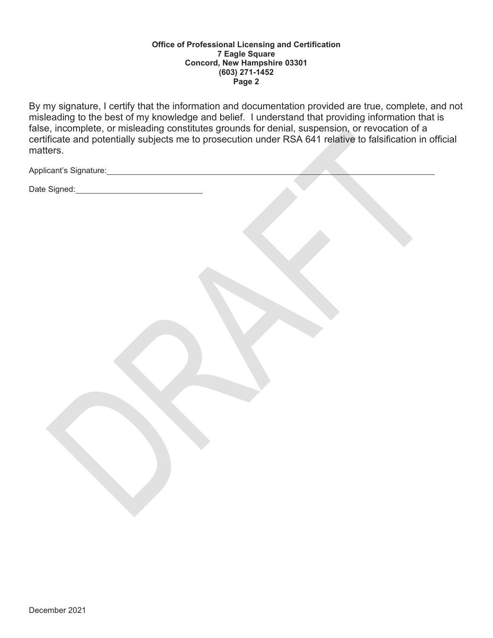#### **Office of Professional Licensing and Certification 7 Eagle Square Concord, New Hampshire 03301 (603) 271-1452 Page 2**

By my signature, I certify that the information and documentation provided are true, complete, and not misleading to the best of my knowledge and belief. I understand that providing information that is false, incomplete, or misleading constitutes grounds for denial, suspension, or revocation of a certificate and potentially subjects me to prosecution under RSA 641 relative to falsification in official matters.

Applicant's Signature: Manual Applicant's Signature:

Date Signed: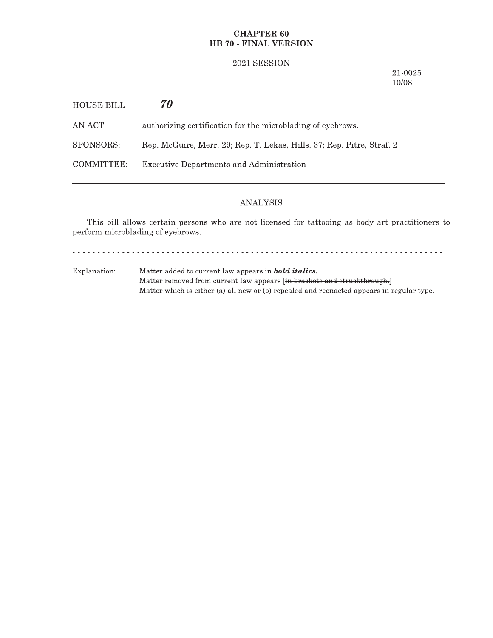## **CHAPTER 60** HB 70 - FINAL VERSION

#### 2021 SESSION

21-0025 10/08

| HOUSE BILL | 70                                                                     |
|------------|------------------------------------------------------------------------|
| AN ACT-    | authorizing certification for the microblading of eyebrows.            |
| SPONSORS:  | Rep. McGuire, Merr. 29; Rep. T. Lekas, Hills. 37; Rep. Pitre, Straf. 2 |
| COMMITTEE: | Executive Departments and Administration                               |
|            |                                                                        |

## **ANALYSIS**

This bill allows certain persons who are not licensed for tattooing as body art practitioners to perform microblading of eyebrows.

<u>. . . . . . . . . . . . . .</u>  $\omega$  is a second set of  $\omega$ 

Explanation: Matter added to current law appears in **bold italics.** Matter removed from current law appears [in brackets and struckthrough.] Matter which is either (a) all new or (b) repealed and reenacted appears in regular type.